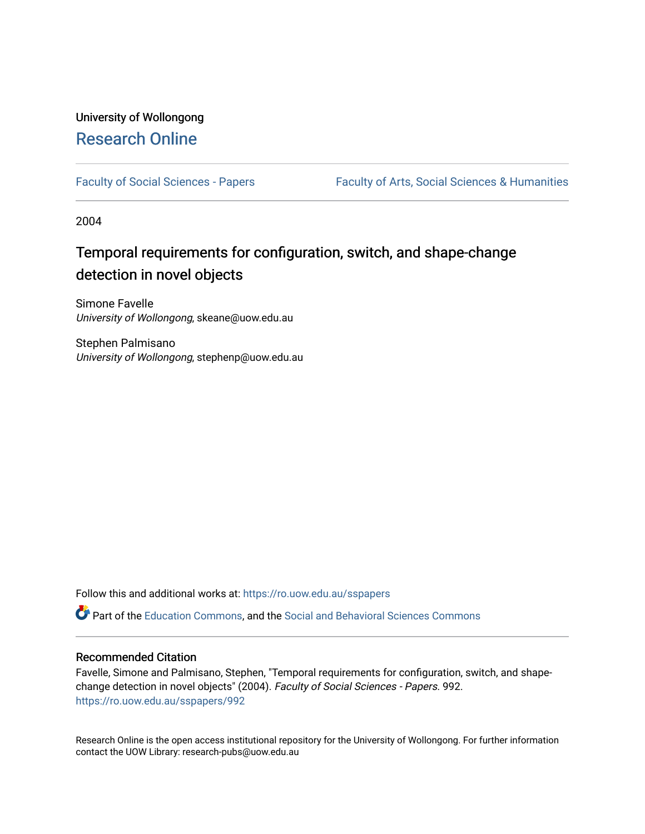## University of Wollongong [Research Online](https://ro.uow.edu.au/)

[Faculty of Social Sciences - Papers](https://ro.uow.edu.au/sspapers) Faculty of Arts, Social Sciences & Humanities

2004

# Temporal requirements for configuration, switch, and shape-change detection in novel objects

Simone Favelle University of Wollongong, skeane@uow.edu.au

Stephen Palmisano University of Wollongong, stephenp@uow.edu.au

Follow this and additional works at: [https://ro.uow.edu.au/sspapers](https://ro.uow.edu.au/sspapers?utm_source=ro.uow.edu.au%2Fsspapers%2F992&utm_medium=PDF&utm_campaign=PDFCoverPages) 

Part of the [Education Commons](http://network.bepress.com/hgg/discipline/784?utm_source=ro.uow.edu.au%2Fsspapers%2F992&utm_medium=PDF&utm_campaign=PDFCoverPages), and the [Social and Behavioral Sciences Commons](http://network.bepress.com/hgg/discipline/316?utm_source=ro.uow.edu.au%2Fsspapers%2F992&utm_medium=PDF&utm_campaign=PDFCoverPages) 

#### Recommended Citation

Favelle, Simone and Palmisano, Stephen, "Temporal requirements for configuration, switch, and shapechange detection in novel objects" (2004). Faculty of Social Sciences - Papers. 992. [https://ro.uow.edu.au/sspapers/992](https://ro.uow.edu.au/sspapers/992?utm_source=ro.uow.edu.au%2Fsspapers%2F992&utm_medium=PDF&utm_campaign=PDFCoverPages) 

Research Online is the open access institutional repository for the University of Wollongong. For further information contact the UOW Library: research-pubs@uow.edu.au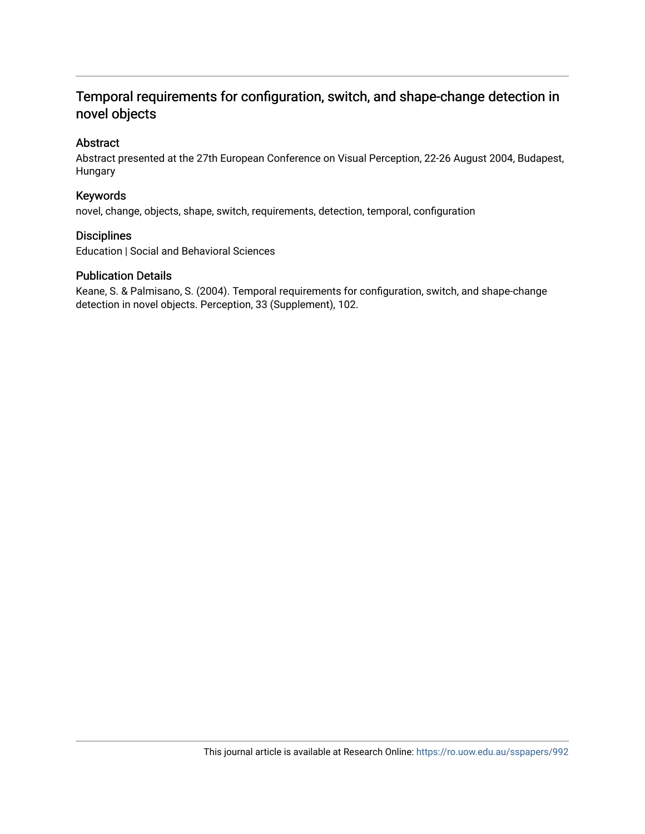## Temporal requirements for configuration, switch, and shape-change detection in novel objects

### Abstract

Abstract presented at the 27th European Conference on Visual Perception, 22-26 August 2004, Budapest, Hungary

### Keywords

novel, change, objects, shape, switch, requirements, detection, temporal, configuration

#### **Disciplines**

Education | Social and Behavioral Sciences

#### Publication Details

Keane, S. & Palmisano, S. (2004). Temporal requirements for configuration, switch, and shape-change detection in novel objects. Perception, 33 (Supplement), 102.